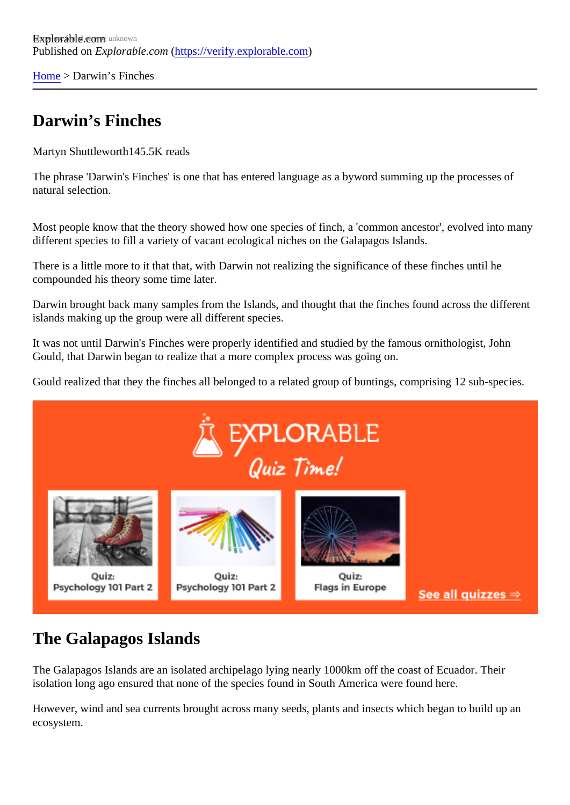[Home](https://verify.explorable.com/)> Darwin's Finches

## Darwin's Finches

Martyn Shuttleworth45.5K reads

The phrase 'Darwin's Finches' is one that has entered language as a byword summing up the processes of natural selection.

Most people know that the theory showed how one species of finch, a 'common ancestor', evolved into many different species to fill a variety of vacant ecological niches on the Galapagos Islands.

There is a little more to it that that, with Darwin not realizing the significance of these finches until he compounded his theory some time later.

Darwin brought back many samples from the Islands, and thought that the finches found across the differe islands making up the group were all different species.

It was not until Darwin's Finches were properly identified and studied by the famous ornithologist, John Gould, that Darwin began to realize that a more complex process was going on.

Gould realized that they the finches all belonged to a related group of buntings, comprising 12 sub-species.

## The Galapagos Islands

The Galapagos Islands are an isolated archipelago lying nearly 1000km off the coast of Ecuador. Their isolation long ago ensured that none of the species found in South America were found here.

However, wind and sea currents brought across many seeds, plants and insects which began to build up and ecosystem.